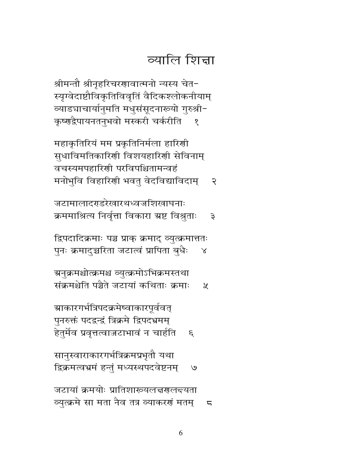सानुस्वाराकारगर्भत्रिक्रमप्रभृतौ यथा द्विक्रमत्वभ्रमं हन्तुं मध्यस्थपदवेष्टनम्  $\mathcal{O}$ 

ग्र्याकारगर्भत्रिपदक्रमेष्वाकारपूर्ववत् पुनरुक्तं पदद्वन्द्रं त्रिक्रमे द्विपदभ्रमम् हेतुर्मेव प्रवृत्तत्वाज्जटाभावं न चार्हति  $\mathcal{E}'$ 

ग्रनुक्रमश्चोत्क्रमश्च व्युत्क्रमोऽभिक्रमस्तथा संक्रमश्चेति पञ्चैते जटायां कथिताः क्रमाः  $\chi$ 

द्रिपदादिक्रमाः पञ्च प्राक् क्रमाद् व्युत्क्रमात्ततः पुनः क्रमादुच्चरिता जटात्वं प्रापिता बुधैः  $\propto$ 

जटामालादरहरेखारथध्वजशिखाघनाः क्रममाश्रित्य निर्वृत्ता विकारा ग्रष्ट विश्रुताः  $\mathfrak{z}$ 

महाकृतिरियं मम प्रकृतिनिर्मला हारिणी सुधाविमतिकारिणी विशयहारिणी सेविनाम् वचस्यमपहारिशी परविपश्चितामन्वहं मनोभुवि विहारिणी भवतु वेदविद्याविदाम्  $\mathcal{R}$ 

श्रीमन्तौ श्रीनृहरिचरणावात्मनो न्यस्य चेत-स्यृग्वेदाष्टौविकृतिविवृतिं वैदिकश्लोकनीयाम् व्याड्याचार्यानुमति मधुसंसूदनारूयो गुरुश्री− कृष्णद्वैपायनतनुभवो मस्करी चर्करीति  $\delta$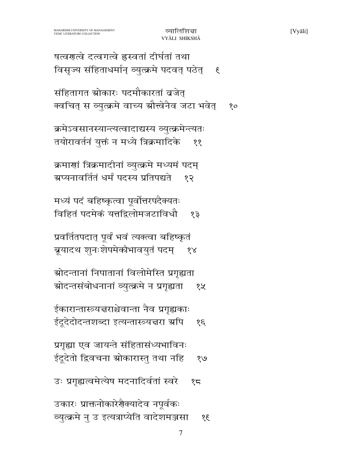उकारः प्राक्तनोकारेर्णैक्यादेव नपूर्वकः व्युत्क्रमे नु उ इत्यत्राप्येति वादेशमञ्जसा  $\frac{3}{2}$ 

उः प्रगृह्यत्वमेत्येष मदनादिर्वतां स्वरे  $25$ 

प्रगृह्या एव जायन्ते संहितासंध्यभाविनः ईदूदेतो द्विवचना स्रोकारास्तु तथा नहि  $8\sqrt{9}$ 

ईकारान्तारूयत्तराश्चेवान्ता नैव प्रगृह्यकाः ईदूदेदोदन्तशब्दा इत्यन्तास्त्र्यचरा ग्रपि  $\mathcal{E}$ 

ग्रोदन्तानां निपातानां विलोमेस्ति प्रगृह्यता स्रोदन्तसंबोधनानां व्युत्क्रमे न प्रगृह्यता १५

प्रवर्तितपदात् पूर्वं भवं त्यक्त्वा बहिष्कृतं ब्रूयादथ शुनःशेपमेकीभावयुतं पदम्  $\delta \lambda$ 

मध्यं पदं बहिष्कृत्वा पूर्वोत्तरपदैक्यतः विहितं पदमेकं यत्तद्विलोमजटाविधौ  $59$ 

क्रमाणां त्रिक्रमादीनां व्युत्क्रमे मध्यमं पदम् ग्रप्यनावर्तितं धर्मं पदस्य प्रतिपद्यते १२

क्रमेऽवसानस्यान्त्यत्वादाद्यस्य व्युत्क्रमेन्त्यतः तयोरावर्तनं युक्तं न मध्ये त्रिक्रमादिके ११

संहितागत स्रोकारः पदमौकारतां व्रजेत् क्वचित् स व्युत्क्रमे वाच्य ग्रौत्त्वेनैव जटा भवेत्  $80$ 

षत्वगत्वे दत्वगत्वे ह्रस्वतां दीर्घतां तथा विसृज्य संहिताधर्मान् व्युत्क्रमे पदवत् पठेत्  $\mathfrak{F}$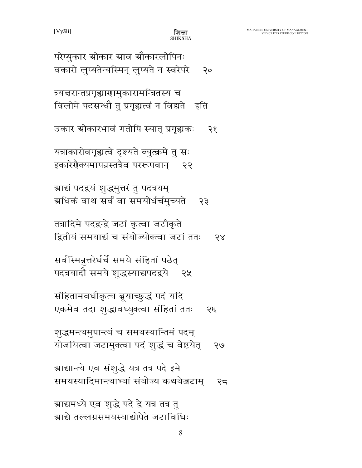ग्राद्यमध्ये एव शुद्धे पदे द्वे यत्र तत्र तु ग्राद्ये तल्लग्नसमयस्याद्योपेते जटाविधिः

ग्राद्यान्त्ये एव संशुद्धे यत्र तत्र पदे इमे समयस्यादिमान्त्याभ्यां संयोज्य कथयेजटाम् २८

शुद्धमन्त्यमुपान्त्यं च समयस्यान्तिमं पदम् योजयित्वा जटामुक्त्वा पदं शुद्धं च वेष्टयेत् २७

संहितामवधीकृत्य ब्रूयाच्छुद्धं पदं यदि एकमेव तदा शुद्धावध्युक्त्वा संहितां ततः  $55$ 

सर्वस्मिन्नूत्तरेर्धर्चे समये संहितां पठेत् पदत्रयादौ समये शुद्धस्याद्यपदद्वये २५

तत्रादिमे पदद्वन्द्वे जटां कृत्वा जटीकृते द्वितीयं समयाद्यं च संयोज्योक्त्वा जटां ततः  $58$ 

ग्राद्यं पदद्वयं शुद्धमुत्तरं तु पदत्रयम् ग्रधिकं वाथ सर्वं वा समयोर्धर्चमुच्यते २३

यत्राकारोवगृह्यत्वे दृश्यते व्युत्क्रमे तु सः इकारेशैक्यमापन्नस्तत्रैव पररूपवान् २२

उकार स्रोकारभावं गतोपि स्यात् प्रगृह्यकः २१

त्र्यत्तरान्तप्रगृह्याणामुकारामन्त्रितस्य च विलोमे पदसन्धौ तु प्रगृह्यत्वं न विद्यते इति

परेप्युकार स्रोकार स्राव स्रौकारलोपिनः वकारो लुप्यतेन्यस्मिन् लुप्यते न स्वरेपरे  $\mathsf{R}^{\mathsf{o}}$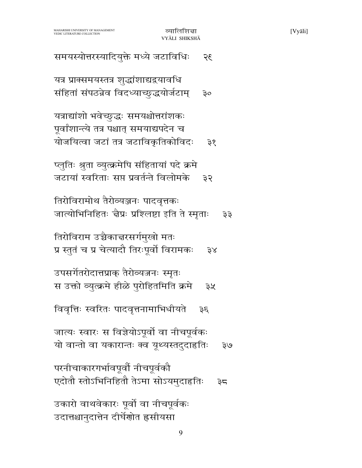| यत्राद्यांशो भवेच्छुद्धः समयश्चोत्तरांशकः<br>पूर्वांशान्त्ये तत्र पश्चात् समयाद्यपदेन च<br>योजयित्वा जटां तत्र जटाविकृतिकोविदः<br>35 |
|--------------------------------------------------------------------------------------------------------------------------------------|
| प्लुतिः श्रुता व्युत्क्रमेपि संहितायां पदे क्रमे<br>जटायां स्वरिताः सप्त प्रवर्तन्ते विलोमके<br>३२                                   |
| तिरोविरामोथ तैरोव्यञ्जनः पादवृत्तकः<br>जात्योभिनिहितः चैप्रः प्रश्लिष्टा इति ते स्मृताः<br>३३                                        |
| तिरोविराम उच्चैकाचरसर्गमुखो मतः<br>प्र स्तुतं च प्र चेत्यादौ तिरःपूर्वो विरामकः<br>38                                                |
| उपसर्गेतरोदात्तप्राक् तैरोव्यजनः स्मृतः<br>स उक्तो व्युत्क्रमे हीळे पुरोहितमिति क्रमे<br>३५                                          |
| विवृत्तिः स्वरितः पादवृत्तनामाभिधीयते<br>$3\xi$                                                                                      |
| जात्यः स्वारः स विज्ञेयोऽपूर्वो वा नीचपूर्वकः<br>यो वान्तो वा यकारान्तः क्व यूथ्यस्तदुदाहतिः<br>२७                                   |
| परनीचाकारगर्भावपूर्वो नीचपूर्वकौ<br>एदोतौ स्तोऽभिनिहितौ तेऽमा सोऽयमुदाहृतिः<br>३८                                                    |
| उकारो वाथवेकारः पूर्वो वा नीचपूर्वकः<br>उदात्तश्चानुदात्तेन दीर्घेणोत ह्रसीयसा                                                       |
| 9                                                                                                                                    |

MAHARISHI UNIVERSITY OF MANAGEMENT<br>VEDIC LITERATURE COLLECTION

समयस्योत्तरस्यादियुक्ते मध्ये जटाविधिः

यत्र प्राक्समयस्तत्र शुद्धांशाद्यद्वयावधि

संहितां संपठन्नेव विदध्याच्छुद्धयोर्जटाम्

 $35$ 

३०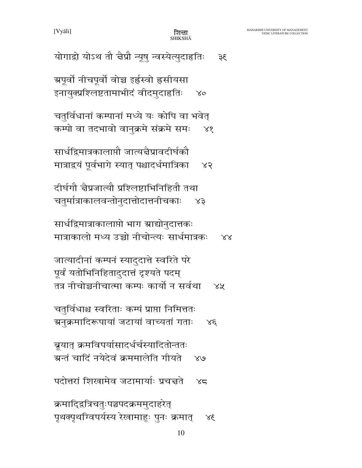[Vyāli]

शित्ता<br>shikshā

| योगाद्रो योऽथ तौ चैप्रौ न्यूषु न्वस्येत्युदाहृतिः<br>३६                                                                                    |
|--------------------------------------------------------------------------------------------------------------------------------------------|
| ग्रपूर्वो नीचपूर्वो वोच्च इर्हस्वो ह्रसीयसा<br>इनायुक्प्रश्लिष्टतामाभीदं वीदमुदाहृतिः<br>$\chi_{\rm O}$                                    |
| चतुर्विधानां कम्पानां मध्ये यः कोपि वा भवेत्<br>कम्पो वा तदभावो वानुक्रमे संक्रमे समः<br>88                                                |
| सार्धद्विमात्रकालाप्तौ जात्यज्ञैप्रावदीर्घकौ<br>मात्राद्रयं पूर्वभागे स्यात् पश्चादर्धमात्रिका<br>X <sub>5</sub>                           |
| दीर्घगौ चैप्रजात्यौ प्रश्लिष्टाभिनिहितौ तथा<br>चतुर्मात्राकालवन्तोनुदात्तोदात्तनीचकाः<br>X3                                                |
| सार्धद्विमात्राकालाप्तो भाग स्राद्योनुदात्तकः<br>मात्राकालो मध्य उच्चो नीचोन्त्यः सार्धमात्रकः<br>$\lambda\lambda$                         |
| जात्यादीनां कम्पनं स्यादुदात्ते स्वरिते परे<br>पूर्वं यतोभिनिहितादुदात्तं दृश्यते पदम्<br>तत्र नीचोच्चनीचात्मा कम्पः कार्यो न सर्वथा<br>४५ |
| चतुर्विधाश्च स्वरिताः कम्पं प्राप्ता निमित्ततः<br>ग्रनुक्रमादिरूपायां जटायां वाच्यतां गताः<br>$X \mathcal{E}$                              |
| ब्रूयात् क्रमविपर्यासादर्धर्चस्यादितोन्ततः<br>अन्तं चादिं नयेदेवं क्रममालेति गीयते ४७                                                      |
| पदोत्तरां शिखामेव जटामार्याः प्रचत्तते<br>XZ                                                                                               |
| क्रमादि्द्रत्रिचतुःपञ्चपदक्रममुदाहरेत्<br>पृथक्पृथग्विपर्यस्य रेखामाहुः पुनः क्रमात्<br>38 <sup>′</sup>                                    |